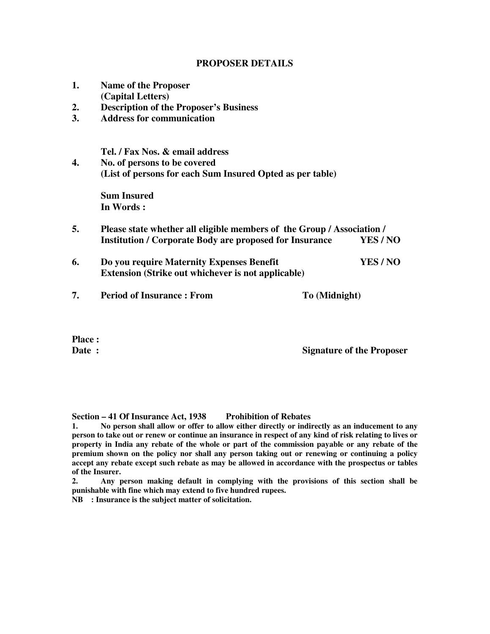## **PROPOSER DETAILS**

| 1. | <b>Name of the Proposer</b>                                            |               |          |  |  |  |
|----|------------------------------------------------------------------------|---------------|----------|--|--|--|
|    | (Capital Letters)                                                      |               |          |  |  |  |
| 2. | <b>Description of the Proposer's Business</b>                          |               |          |  |  |  |
| 3. | <b>Address for communication</b>                                       |               |          |  |  |  |
|    | Tel. / Fax Nos. & email address                                        |               |          |  |  |  |
| 4. | No. of persons to be covered                                           |               |          |  |  |  |
|    | (List of persons for each Sum Insured Opted as per table)              |               |          |  |  |  |
|    | <b>Sum Insured</b>                                                     |               |          |  |  |  |
|    | In Words:                                                              |               |          |  |  |  |
| 5. | Please state whether all eligible members of the Group / Association / |               |          |  |  |  |
|    | <b>Institution / Corporate Body are proposed for Insurance</b>         |               | YES/NO   |  |  |  |
| 6. | Do you require Maternity Expenses Benefit                              |               | YES / NO |  |  |  |
|    | <b>Extension (Strike out whichever is not applicable)</b>              |               |          |  |  |  |
| 7. | <b>Period of Insurance: From</b>                                       | To (Midnight) |          |  |  |  |
|    |                                                                        |               |          |  |  |  |

**Place :** 

**Date :** Signature of the Proposer

**Section – 41 Of Insurance Act, 1938 Prohibition of Rebates** 

**1. No person shall allow or offer to allow either directly or indirectly as an inducement to any person to take out or renew or continue an insurance in respect of any kind of risk relating to lives or property in India any rebate of the whole or part of the commission payable or any rebate of the premium shown on the policy nor shall any person taking out or renewing or continuing a policy accept any rebate except such rebate as may be allowed in accordance with the prospectus or tables of the Insurer.** 

**2. Any person making default in complying with the provisions of this section shall be punishable with fine which may extend to five hundred rupees.** 

**NB : Insurance is the subject matter of solicitation.**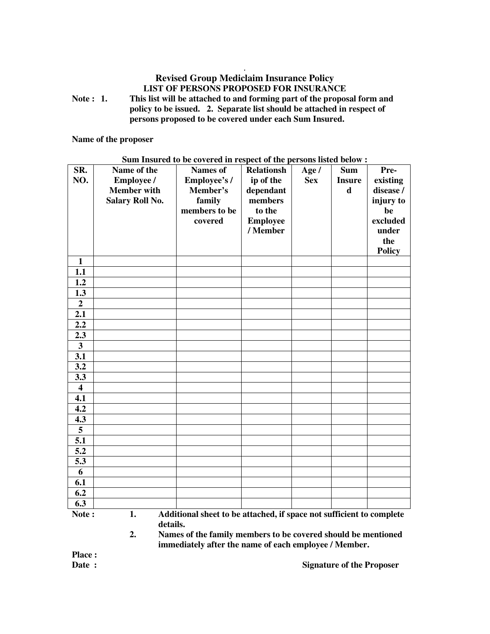## **. Revised Group Mediclaim Insurance Policy LIST OF PERSONS PROPOSED FOR INSURANCE**

**Note : 1. This list will be attached to and forming part of the proposal form and policy to be issued. 2. Separate list should be attached in respect of persons proposed to be covered under each Sum Insured.** 

**Name of the proposer** 

| SR.<br>NO.              | Name of the<br><b>Employee /</b><br><b>Member</b> with<br><b>Salary Roll No.</b> | $\sim$ and thousand to be covered in respect of the persons match below $\cdot$<br><b>Names of</b><br>Employee's/<br>Member's<br>family<br>members to be<br>covered | <b>Relationsh</b><br>ip of the<br>dependant<br>members<br>to the<br><b>Employee</b><br>/ Member | Age $/$<br><b>Sex</b> | <b>Sum</b><br><b>Insure</b><br>d | Pre-<br>existing<br>disease /<br>injury to<br>be<br>excluded<br>under<br>the<br><b>Policy</b> |
|-------------------------|----------------------------------------------------------------------------------|---------------------------------------------------------------------------------------------------------------------------------------------------------------------|-------------------------------------------------------------------------------------------------|-----------------------|----------------------------------|-----------------------------------------------------------------------------------------------|
| $\mathbf{1}$            |                                                                                  |                                                                                                                                                                     |                                                                                                 |                       |                                  |                                                                                               |
| 1.1                     |                                                                                  |                                                                                                                                                                     |                                                                                                 |                       |                                  |                                                                                               |
| 1.2                     |                                                                                  |                                                                                                                                                                     |                                                                                                 |                       |                                  |                                                                                               |
| $\overline{1.3}$        |                                                                                  |                                                                                                                                                                     |                                                                                                 |                       |                                  |                                                                                               |
| $\overline{2}$          |                                                                                  |                                                                                                                                                                     |                                                                                                 |                       |                                  |                                                                                               |
| 2.1                     |                                                                                  |                                                                                                                                                                     |                                                                                                 |                       |                                  |                                                                                               |
| 2.2                     |                                                                                  |                                                                                                                                                                     |                                                                                                 |                       |                                  |                                                                                               |
| 2.3                     |                                                                                  |                                                                                                                                                                     |                                                                                                 |                       |                                  |                                                                                               |
| $\mathbf{3}$            |                                                                                  |                                                                                                                                                                     |                                                                                                 |                       |                                  |                                                                                               |
| 3.1                     |                                                                                  |                                                                                                                                                                     |                                                                                                 |                       |                                  |                                                                                               |
| 3.2                     |                                                                                  |                                                                                                                                                                     |                                                                                                 |                       |                                  |                                                                                               |
| 3.3                     |                                                                                  |                                                                                                                                                                     |                                                                                                 |                       |                                  |                                                                                               |
| $\overline{\mathbf{4}}$ |                                                                                  |                                                                                                                                                                     |                                                                                                 |                       |                                  |                                                                                               |
| 4.1                     |                                                                                  |                                                                                                                                                                     |                                                                                                 |                       |                                  |                                                                                               |
| 4.2                     |                                                                                  |                                                                                                                                                                     |                                                                                                 |                       |                                  |                                                                                               |
| 4.3                     |                                                                                  |                                                                                                                                                                     |                                                                                                 |                       |                                  |                                                                                               |
| 5                       |                                                                                  |                                                                                                                                                                     |                                                                                                 |                       |                                  |                                                                                               |
| 5.1                     |                                                                                  |                                                                                                                                                                     |                                                                                                 |                       |                                  |                                                                                               |
| 5.2                     |                                                                                  |                                                                                                                                                                     |                                                                                                 |                       |                                  |                                                                                               |
| 5.3                     |                                                                                  |                                                                                                                                                                     |                                                                                                 |                       |                                  |                                                                                               |
| 6                       |                                                                                  |                                                                                                                                                                     |                                                                                                 |                       |                                  |                                                                                               |
| 6.1                     |                                                                                  |                                                                                                                                                                     |                                                                                                 |                       |                                  |                                                                                               |
| 6.2                     |                                                                                  |                                                                                                                                                                     |                                                                                                 |                       |                                  |                                                                                               |
| 6.3                     |                                                                                  |                                                                                                                                                                     |                                                                                                 |                       |                                  |                                                                                               |

**Sum Insured to be covered in respect of the persons listed below :** 

Note : 1. Additional sheet to be attached, if space not sufficient to complete **details.** 

**2. Names of the family members to be covered should be mentioned immediately after the name of each employee / Member.** 

**Place :** 

**Date :** Signature of the Proposer